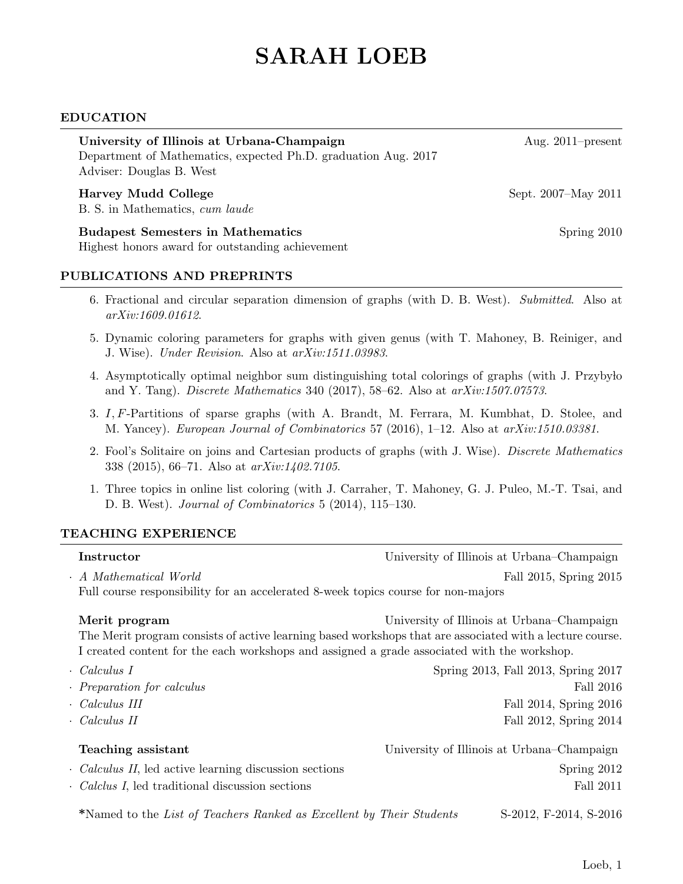# SARAH LOEB

#### EDUCATION

| University of Illinois at Urbana-Champaign                                                 | Aug. $2011$ -present |
|--------------------------------------------------------------------------------------------|----------------------|
| Department of Mathematics, expected Ph.D. graduation Aug. 2017<br>Adviser: Douglas B. West |                      |
| <b>Harvey Mudd College</b><br>B. S. in Mathematics, cum laude                              | Sept. 2007–May 2011  |
| <b>Budapest Semesters in Mathematics</b>                                                   | Spring $2010$        |
| Highest honors award for outstanding achievement                                           |                      |

#### PUBLICATIONS AND PREPRINTS

- 6. Fractional and circular separation dimension of graphs (with D. B. West). Submitted. Also at arXiv:1609.01612.
- 5. Dynamic coloring parameters for graphs with given genus (with T. Mahoney, B. Reiniger, and J. Wise). Under Revision. Also at arXiv:1511.03983.
- 4. Asymptotically optimal neighbor sum distinguishing total colorings of graphs (with J. Przyby lo and Y. Tang). Discrete Mathematics 340 (2017), 58–62. Also at  $arXiv:1507.07573$ .
- 3. I, F-Partitions of sparse graphs (with A. Brandt, M. Ferrara, M. Kumbhat, D. Stolee, and M. Yancey). European Journal of Combinatorics 57 (2016), 1–12. Also at arXiv:1510.03381.
- 2. Fool's Solitaire on joins and Cartesian products of graphs (with J. Wise). Discrete Mathematics 338 (2015), 66–71. Also at arXiv:1402.7105.
- 1. Three topics in online list coloring (with J. Carraher, T. Mahoney, G. J. Puleo, M.-T. Tsai, and D. B. West). Journal of Combinatorics 5 (2014), 115–130.

#### TEACHING EXPERIENCE

| Instructor                                                                        | University of Illinois at Urbana–Champaign                                                                                                                                                                                                            |
|-----------------------------------------------------------------------------------|-------------------------------------------------------------------------------------------------------------------------------------------------------------------------------------------------------------------------------------------------------|
| . A Mathematical World                                                            | Fall 2015, Spring 2015                                                                                                                                                                                                                                |
| Full course responsibility for an accelerated 8-week topics course for non-majors |                                                                                                                                                                                                                                                       |
| Merit program                                                                     | University of Illinois at Urbana–Champaign<br>The Merit program consists of active learning based workshops that are associated with a lecture course.<br>I created content for the each workshops and assigned a grade associated with the workshop. |
| · Calculus I                                                                      | Spring 2013, Fall 2013, Spring 2017                                                                                                                                                                                                                   |
| $\cdot$ Preparation for calculus                                                  | Fall 2016                                                                                                                                                                                                                                             |
| $\cdot$ Calculus III                                                              | Fall 2014, Spring 2016                                                                                                                                                                                                                                |
| $\cdot$ Calculus II                                                               | Fall 2012, Spring 2014                                                                                                                                                                                                                                |
| Teaching assistant                                                                | University of Illinois at Urbana–Champaign                                                                                                                                                                                                            |
| · <i>Calculus II</i> , led active learning discussion sections                    | Spring 2012                                                                                                                                                                                                                                           |
| · Calclus I, led traditional discussion sections                                  | <b>Fall 2011</b>                                                                                                                                                                                                                                      |
| *Named to the List of Teachers Ranked as Excellent by Their Students              | S-2012, F-2014, S-2016                                                                                                                                                                                                                                |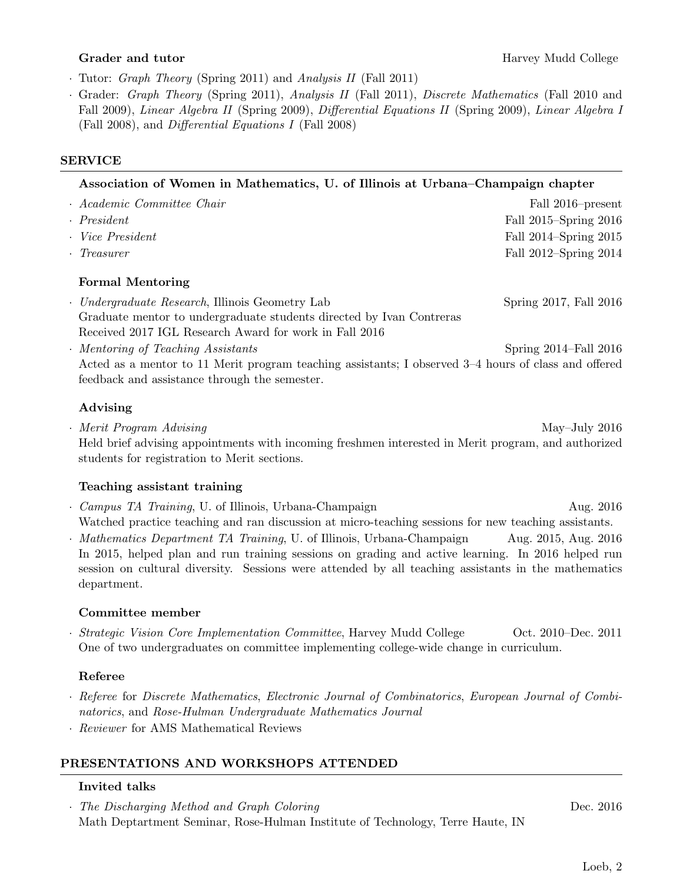- · Tutor: Graph Theory (Spring 2011) and Analysis II (Fall 2011)
- · Grader: Graph Theory (Spring 2011), Analysis II (Fall 2011), Discrete Mathematics (Fall 2010 and Fall 2009), Linear Algebra II (Spring 2009), Differential Equations II (Spring 2009), Linear Algebra I (Fall 2008), and Differential Equations I (Fall 2008)

#### SERVICE

#### Association of Women in Mathematics, U. of Illinois at Urbana–Champaign chapter

| · Academic Committee Chair | Fall 2016–present     |
|----------------------------|-----------------------|
| $\cdot$ President          | Fall 2015–Spring 2016 |
| · Vice President           | Fall 2014–Spring 2015 |
| $\cdot$ Treasurer          | Fall 2012–Spring 2014 |
| <b>Formal Mentoring</b>    |                       |

- · Undergraduate Research, Illinois Geometry Lab Spring 2017, Fall 2016 Graduate mentor to undergraduate students directed by Ivan Contreras Received 2017 IGL Research Award for work in Fall 2016
- Mentoring of Teaching Assistants Spring 2014–Fall 2016 Acted as a mentor to 11 Merit program teaching assistants; I observed 3–4 hours of class and offered feedback and assistance through the semester.

# Advising

• Merit Program Advising May–July 2016 Held brief advising appointments with incoming freshmen interested in Merit program, and authorized students for registration to Merit sections.

# Teaching assistant training

- Campus TA Training, U. of Illinois, Urbana-Champaign Aug. 2016 Watched practice teaching and ran discussion at micro-teaching sessions for new teaching assistants.
- *Mathematics Department TA Training*, U. of Illinois, Urbana-Champaign Aug. 2015, Aug. 2016 In 2015, helped plan and run training sessions on grading and active learning. In 2016 helped run session on cultural diversity. Sessions were attended by all teaching assistants in the mathematics department.

# Committee member

· Strategic Vision Core Implementation Committee, Harvey Mudd College Oct. 2010–Dec. 2011 One of two undergraduates on committee implementing college-wide change in curriculum.

# Referee

- · Referee for Discrete Mathematics, Electronic Journal of Combinatorics, European Journal of Combinatorics, and Rose-Hulman Undergraduate Mathematics Journal
- · Reviewer for AMS Mathematical Reviews

# PRESENTATIONS AND WORKSHOPS ATTENDED

# Invited talks

· The Discharging Method and Graph Coloring Dec. 2016 Math Deptartment Seminar, Rose-Hulman Institute of Technology, Terre Haute, IN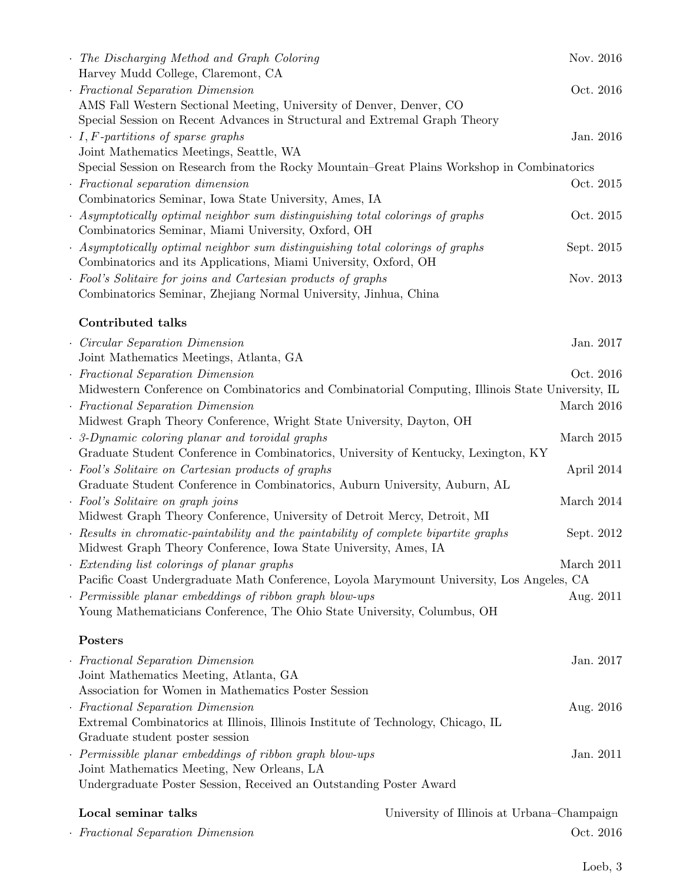| · Fractional Separation Dimension                                                                                                                         | Oct. 2016                                                                                         |
|-----------------------------------------------------------------------------------------------------------------------------------------------------------|---------------------------------------------------------------------------------------------------|
| Local seminar talks                                                                                                                                       | University of Illinois at Urbana–Champaign                                                        |
| Undergraduate Poster Session, Received an Outstanding Poster Award                                                                                        |                                                                                                   |
| · Permissible planar embeddings of ribbon graph blow-ups<br>Joint Mathematics Meeting, New Orleans, LA                                                    | Jan. 2011                                                                                         |
| Graduate student poster session                                                                                                                           |                                                                                                   |
| · Fractional Separation Dimension<br>Extremal Combinatorics at Illinois, Illinois Institute of Technology, Chicago, IL                                    | Aug. 2016                                                                                         |
| Association for Women in Mathematics Poster Session                                                                                                       |                                                                                                   |
| · Fractional Separation Dimension<br>Joint Mathematics Meeting, Atlanta, GA                                                                               | Jan. 2017                                                                                         |
| Posters                                                                                                                                                   |                                                                                                   |
| Young Mathematicians Conference, The Ohio State University, Columbus, OH                                                                                  |                                                                                                   |
| · Permissible planar embeddings of ribbon graph blow-ups                                                                                                  | Aug. 2011                                                                                         |
|                                                                                                                                                           | Pacific Coast Undergraduate Math Conference, Loyola Marymount University, Los Angeles, CA         |
| Extending list colorings of planar graphs                                                                                                                 | March 2011                                                                                        |
| · Results in chromatic-paintability and the paintability of complete bipartite graphs<br>Midwest Graph Theory Conference, Iowa State University, Ames, IA | Sept. 2012                                                                                        |
| Midwest Graph Theory Conference, University of Detroit Mercy, Detroit, MI                                                                                 |                                                                                                   |
| · Fool's Solitaire on graph joins                                                                                                                         | March 2014                                                                                        |
| Graduate Student Conference in Combinatorics, Auburn University, Auburn, AL                                                                               |                                                                                                   |
| Graduate Student Conference in Combinatorics, University of Kentucky, Lexington, KY<br>· Fool's Solitaire on Cartesian products of graphs                 | April 2014                                                                                        |
| . 3-Dynamic coloring planar and toroidal graphs                                                                                                           | March 2015                                                                                        |
| Midwest Graph Theory Conference, Wright State University, Dayton, OH                                                                                      |                                                                                                   |
| · Fractional Separation Dimension                                                                                                                         | March 2016                                                                                        |
|                                                                                                                                                           | Midwestern Conference on Combinatorics and Combinatorial Computing, Illinois State University, IL |
| · Fractional Separation Dimension                                                                                                                         | Oct. 2016                                                                                         |
| Circular Separation Dimension<br>Joint Mathematics Meetings, Atlanta, GA                                                                                  | Jan. 2017                                                                                         |
| <b>Contributed talks</b>                                                                                                                                  |                                                                                                   |
|                                                                                                                                                           |                                                                                                   |
| Combinatorics Seminar, Zhejiang Normal University, Jinhua, China                                                                                          |                                                                                                   |
| · Fool's Solitaire for joins and Cartesian products of graphs                                                                                             | Nov. 2013                                                                                         |
| · Asymptotically optimal neighbor sum distinguishing total colorings of graphs<br>Combinatorics and its Applications, Miami University, Oxford, OH        | Sept. 2015                                                                                        |
| Combinatorics Seminar, Miami University, Oxford, OH                                                                                                       |                                                                                                   |
| · Asymptotically optimal neighbor sum distinguishing total colorings of graphs                                                                            | Oct. 2015                                                                                         |
| Combinatorics Seminar, Iowa State University, Ames, IA                                                                                                    |                                                                                                   |
| $\cdot$ Fractional separation dimension                                                                                                                   | Oct. 2015                                                                                         |
| Joint Mathematics Meetings, Seattle, WA                                                                                                                   | Special Session on Research from the Rocky Mountain–Great Plains Workshop in Combinatorics        |
| $\cdot$ I, F-partitions of sparse graphs                                                                                                                  | Jan. 2016                                                                                         |
| Special Session on Recent Advances in Structural and Extremal Graph Theory                                                                                |                                                                                                   |
| AMS Fall Western Sectional Meeting, University of Denver, Denver, CO                                                                                      | Oct. 2016                                                                                         |
| Harvey Mudd College, Claremont, CA<br>· Fractional Separation Dimension                                                                                   |                                                                                                   |
| The Discharging Method and Graph Coloring                                                                                                                 | Nov. 2016                                                                                         |